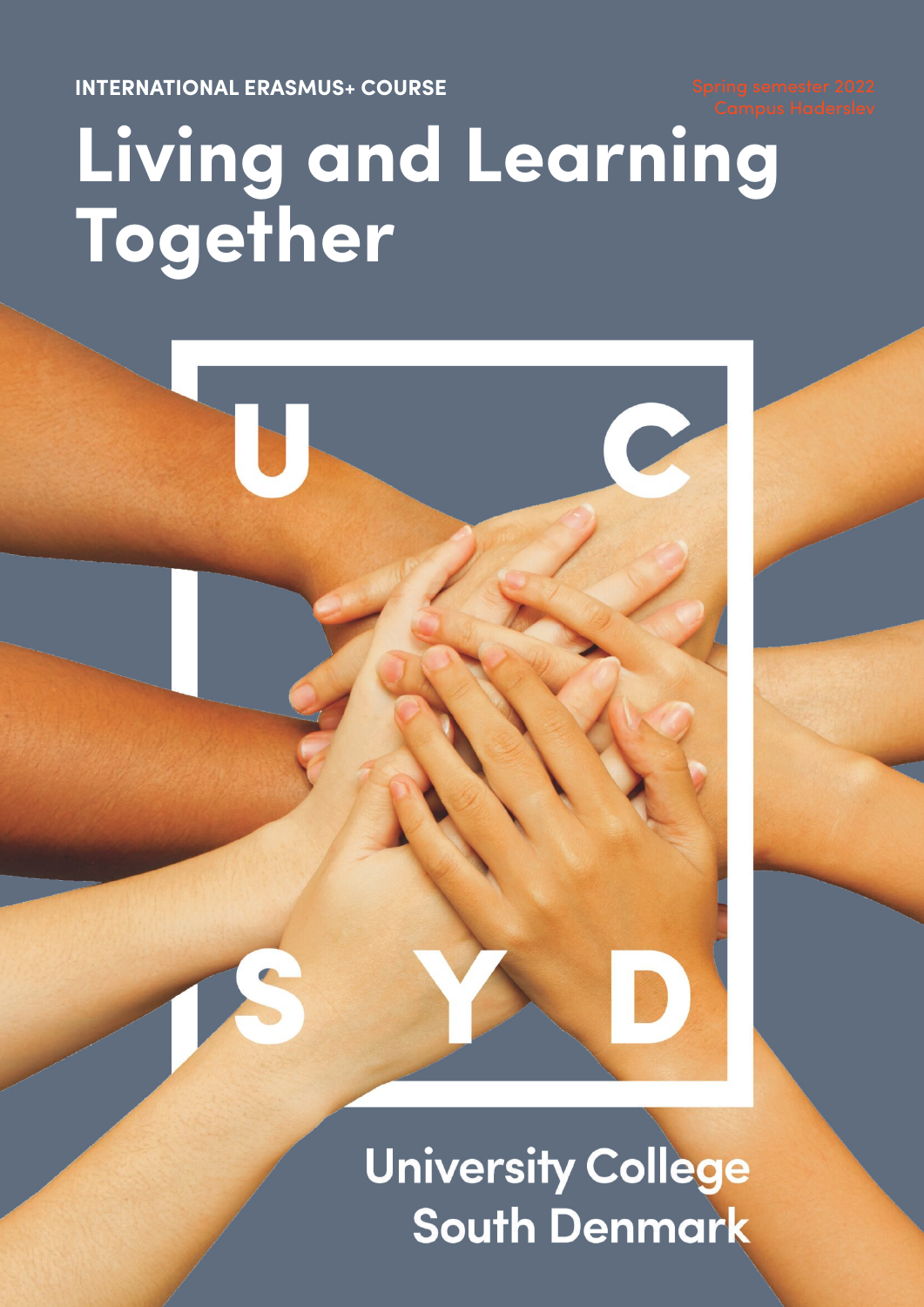**INTERNATIONAL ERASMUS+ COURSE**

# **Living and Learning Together**

**University College South Denmark**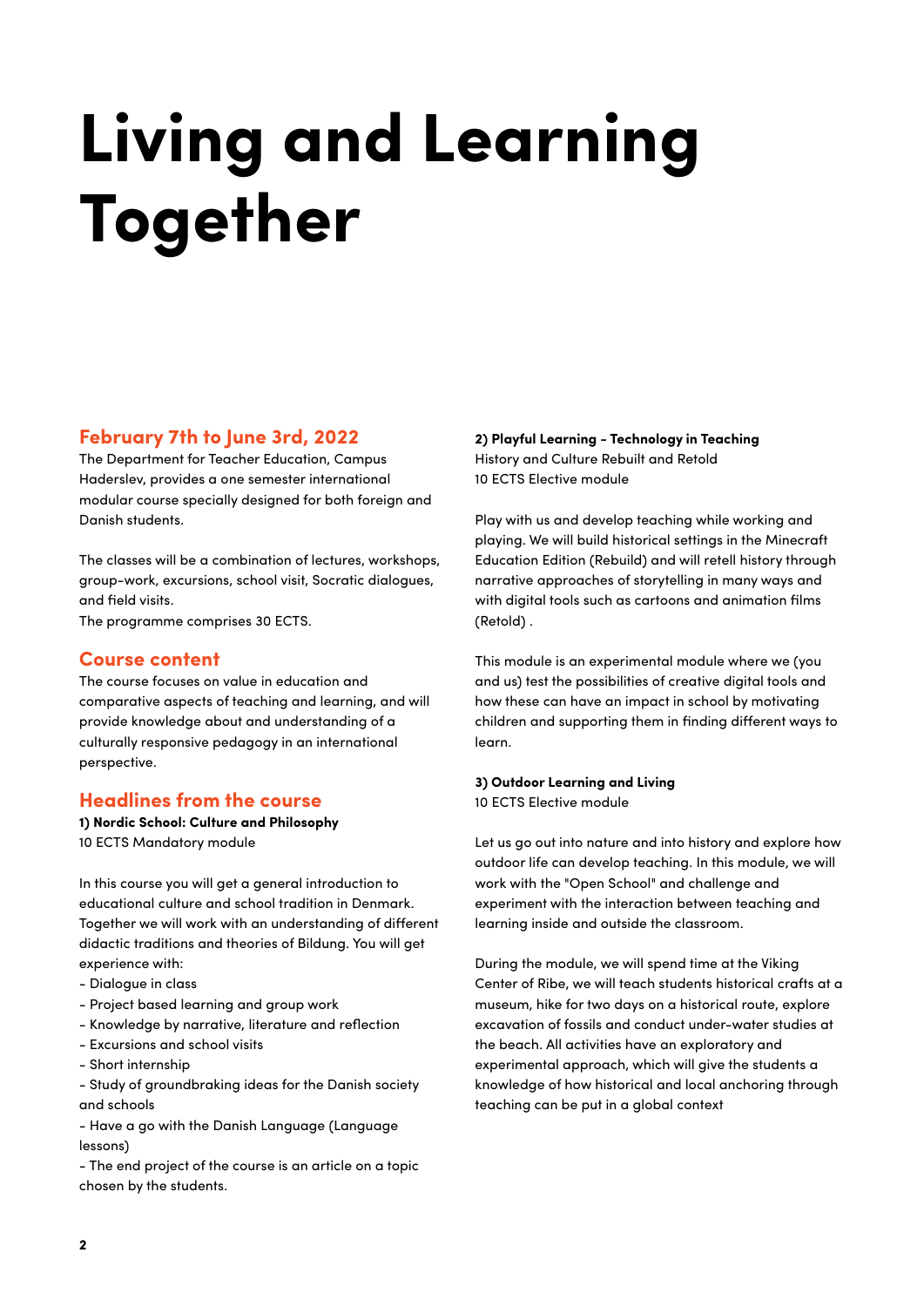## **Living and Learning Together**

## **February 7th to June 3rd, 2022**

The Department for Teacher Education, Campus Haderslev, provides a one semester international modular course specially designed for both foreign and Danish students.

The classes will be a combination of lectures, workshops, group-work, excursions, school visit, Socratic dialogues, and field visits.

The programme comprises 30 ECTS.

#### **Course content**

The course focuses on value in education and comparative aspects of teaching and learning, and will provide knowledge about and understanding of a culturally responsive pedagogy in an international perspective.

## **Headlines from the course**

**1) Nordic School: Culture and Philosophy** 10 ECTS Mandatory module

In this course you will get a general introduction to educational culture and school tradition in Denmark. Together we will work with an understanding of different didactic traditions and theories of Bildung. You will get experience with:

- Dialogue in class
- Project based learning and group work
- Knowledge by narrative, literature and reflection
- Excursions and school visits
- Short internship

- Study of groundbraking ideas for the Danish society and schools

- Have a go with the Danish Language (Language lessons)

- The end project of the course is an article on a topic chosen by the students.

**2) Playful Learning - Technology in Teaching** History and Culture Rebuilt and Retold 10 ECTS Elective module

Play with us and develop teaching while working and playing. We will build historical settings in the Minecraft Education Edition (Rebuild) and will retell history through narrative approaches of storytelling in many ways and with digital tools such as cartoons and animation films (Retold) .

This module is an experimental module where we (you and us) test the possibilities of creative digital tools and how these can have an impact in school by motivating children and supporting them in finding different ways to learn.

#### **3) Outdoor Learning and Living**

10 ECTS Elective module

Let us go out into nature and into history and explore how outdoor life can develop teaching. In this module, we will work with the "Open School" and challenge and experiment with the interaction between teaching and learning inside and outside the classroom.

During the module, we will spend time at the Viking Center of Ribe, we will teach students historical crafts at a museum, hike for two days on a historical route, explore excavation of fossils and conduct under-water studies at the beach. All activities have an exploratory and experimental approach, which will give the students a knowledge of how historical and local anchoring through teaching can be put in a global context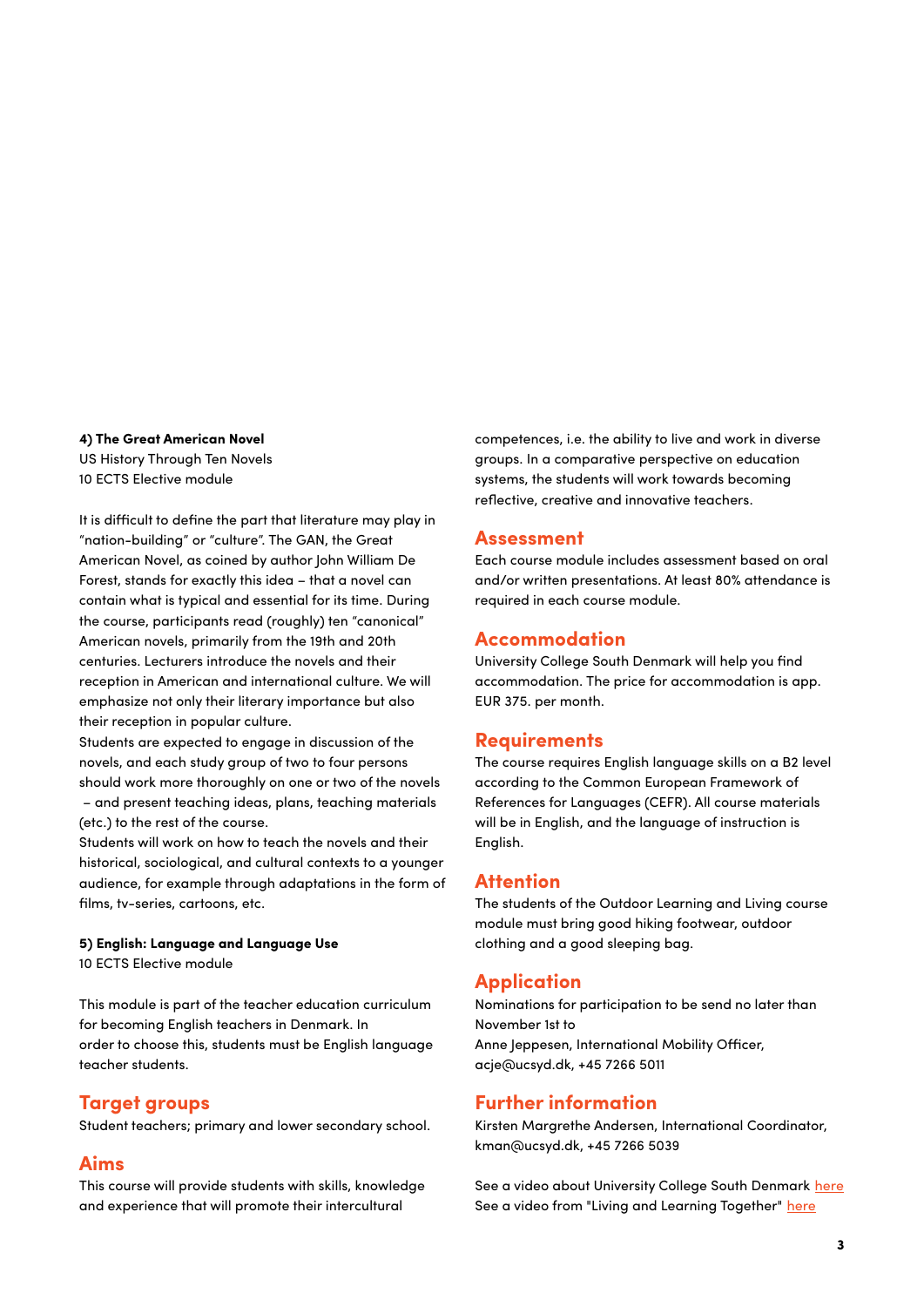#### **4) The Great American Novel**

US History Through Ten Novels 10 ECTS Elective module

It is difficult to define the part that literature may play in "nation-building" or "culture". The GAN, the Great American Novel, as coined by author John William De Forest, stands for exactly this idea – that a novel can contain what is typical and essential for its time. During the course, participants read (roughly) ten "canonical" American novels, primarily from the 19th and 20th centuries. Lecturers introduce the novels and their reception in American and international culture. We will emphasize not only their literary importance but also their reception in popular culture.

Students are expected to engage in discussion of the novels, and each study group of two to four persons should work more thoroughly on one or two of the novels – and present teaching ideas, plans, teaching materials (etc.) to the rest of the course.

Students will work on how to teach the novels and their historical, sociological, and cultural contexts to a younger audience, for example through adaptations in the form of films, tv-series, cartoons, etc.

#### **5) English: Language and Language Use**

10 ECTS Elective module

This module is part of the teacher education curriculum for becoming English teachers in Denmark. In order to choose this, students must be English language teacher students.

#### **Target groups**

Student teachers; primary and lower secondary school.

## **Aims**

This course will provide students with skills, knowledge and experience that will promote their intercultural

competences, i.e. the ability to live and work in diverse groups. In a comparative perspective on education systems, the students will work towards becoming reflective, creative and innovative teachers.

#### **Assessment**

Each course module includes assessment based on oral and/or written presentations. At least 80% attendance is required in each course module.

#### **Accommodation**

University College South Denmark will help you find accommodation. The price for accommodation is app. EUR 375. per month.

#### **Requirements**

The course requires English language skills on a B2 level according to the Common European Framework of References for Languages (CEFR). All course materials will be in English, and the language of instruction is English.

#### **Attention**

The students of the Outdoor Learning and Living course module must bring good hiking footwear, outdoor clothing and a good sleeping bag.

#### **Application**

Nominations for participation to be send no later than November 1st to Anne Jeppesen, International Mobility Officer, acje@ucsyd.dk, +45 7266 5011

#### **Further information**

Kirsten Margrethe Andersen, International Coordinator, kman@ucsyd.dk, +45 7266 5039

See a video about University College South Denmark [here](https://https//www.youtube.com/watch?v=3_d6zgoIfRQ) See a video from "Living and Learning Together" [here](https://https//www.youtube.com/watch?v=V7oqCLUr9Is)